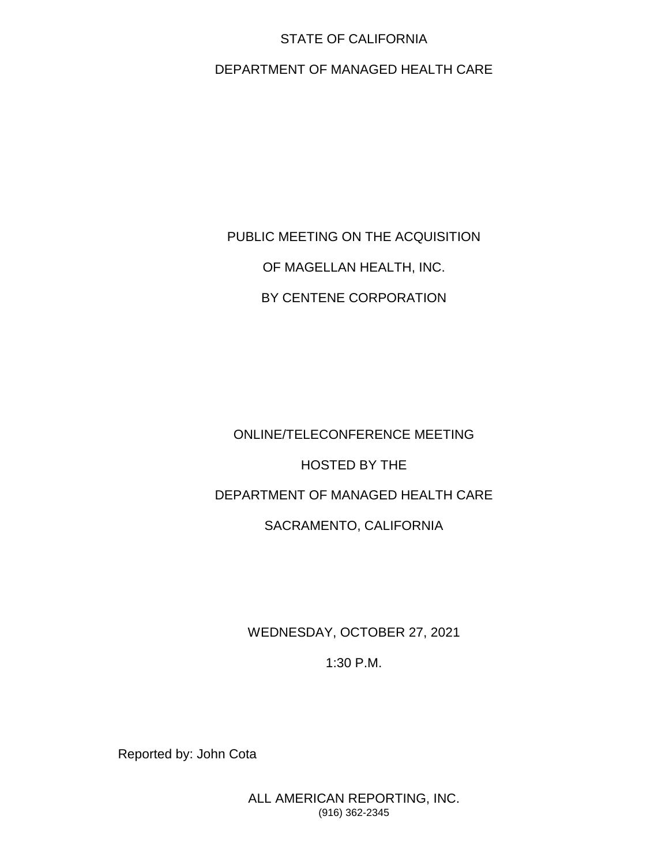#### STATE OF CALIFORNIA

#### DEPARTMENT OF MANAGED HEALTH CARE

## PUBLIC MEETING ON THE ACQUISITION OF MAGELLAN HEALTH, INC. BY CENTENE CORPORATION

# ONLINE/TELECONFERENCE MEETING HOSTED BY THE DEPARTMENT OF MANAGED HEALTH CARE SACRAMENTO, CALIFORNIA

#### WEDNESDAY, OCTOBER 27, 2021

#### 1:30 P.M.

Reported by: John Cota

ALL AMERICAN REPORTING, INC. (916) 362-2345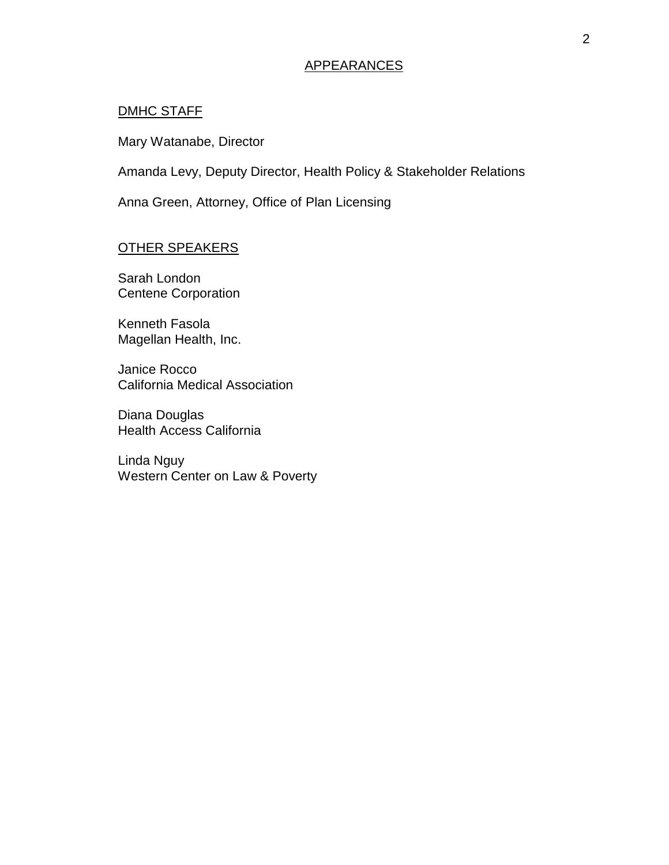#### APPEARANCES

#### DMHC STAFF

Mary Watanabe, Director

Amanda Levy, Deputy Director, Health Policy & Stakeholder Relations

Anna Green, Attorney, Office of Plan Licensing

#### OTHER SPEAKERS

Sarah London Centene Corporation

Kenneth Fasola Magellan Health, Inc.

Janice Rocco California Medical Association

Diana Douglas Health Access California

Linda Nguy Western Center on Law & Poverty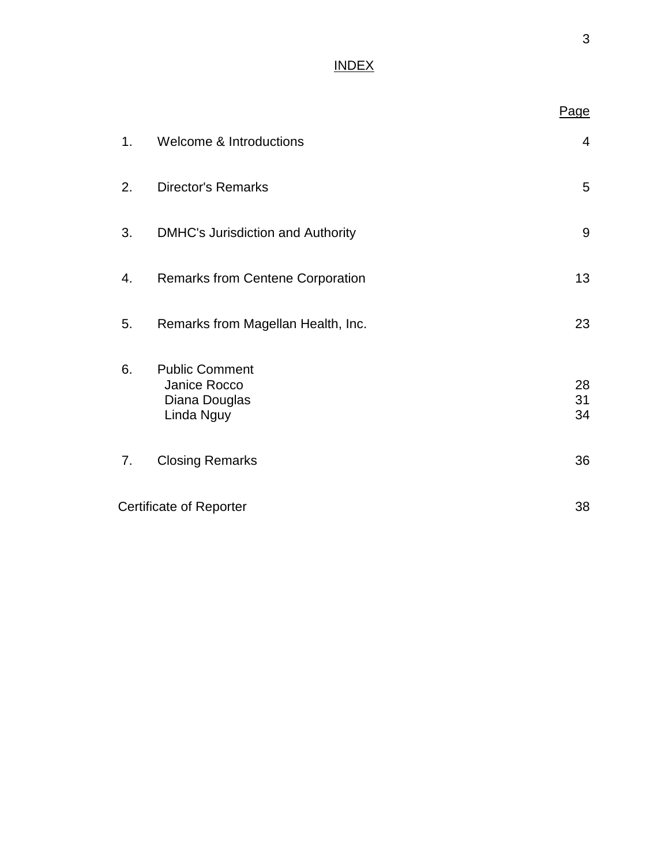### INDEX

|    |                                                                      | Page           |
|----|----------------------------------------------------------------------|----------------|
| 1. | Welcome & Introductions                                              | $\overline{4}$ |
| 2. | <b>Director's Remarks</b>                                            | 5              |
| 3. | <b>DMHC's Jurisdiction and Authority</b>                             | 9              |
| 4. | <b>Remarks from Centene Corporation</b>                              | 13             |
| 5. | Remarks from Magellan Health, Inc.                                   | 23             |
| 6. | <b>Public Comment</b><br>Janice Rocco<br>Diana Douglas<br>Linda Nguy | 28<br>31<br>34 |
| 7. | <b>Closing Remarks</b>                                               | 36             |
|    | Certificate of Reporter                                              | 38             |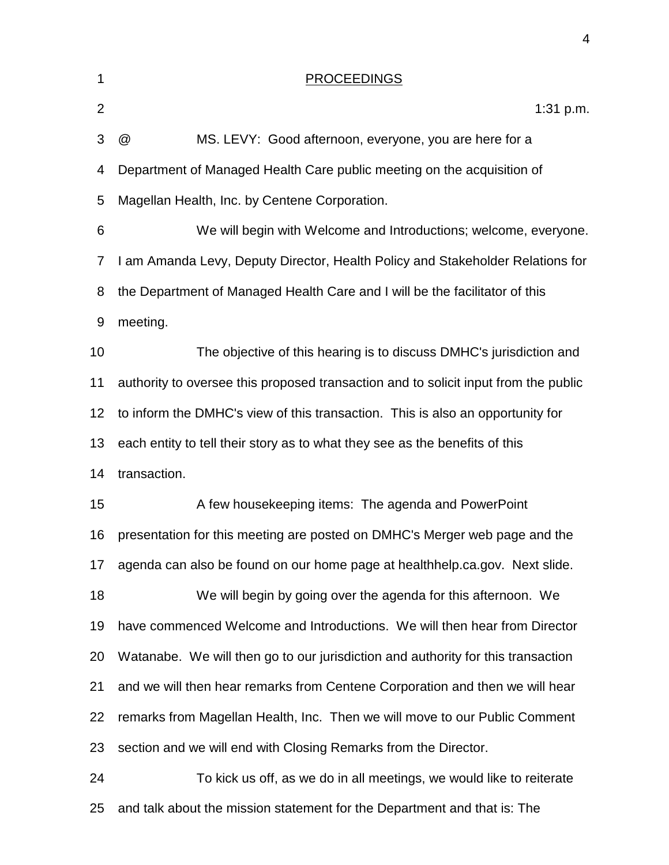| 1              | <b>PROCEEDINGS</b>                                                                  |  |
|----------------|-------------------------------------------------------------------------------------|--|
| $\overline{2}$ | 1:31 p.m.                                                                           |  |
| 3              | @<br>MS. LEVY: Good afternoon, everyone, you are here for a                         |  |
| 4              | Department of Managed Health Care public meeting on the acquisition of              |  |
| 5              | Magellan Health, Inc. by Centene Corporation.                                       |  |
| 6              | We will begin with Welcome and Introductions; welcome, everyone.                    |  |
| $\overline{7}$ | I am Amanda Levy, Deputy Director, Health Policy and Stakeholder Relations for      |  |
| 8              | the Department of Managed Health Care and I will be the facilitator of this         |  |
| 9              | meeting.                                                                            |  |
| 10             | The objective of this hearing is to discuss DMHC's jurisdiction and                 |  |
| 11             | authority to oversee this proposed transaction and to solicit input from the public |  |
| 12             | to inform the DMHC's view of this transaction. This is also an opportunity for      |  |
| 13             | each entity to tell their story as to what they see as the benefits of this         |  |
| 14             | transaction.                                                                        |  |
| 15             | A few housekeeping items: The agenda and PowerPoint                                 |  |
| 16             | presentation for this meeting are posted on DMHC's Merger web page and the          |  |
| 17             | agenda can also be found on our home page at healthhelp.ca.gov. Next slide.         |  |
| 18             | We will begin by going over the agenda for this afternoon. We                       |  |
| 19             | have commenced Welcome and Introductions. We will then hear from Director           |  |
| 20             | Watanabe. We will then go to our jurisdiction and authority for this transaction    |  |
| 21             | and we will then hear remarks from Centene Corporation and then we will hear        |  |
| 22             | remarks from Magellan Health, Inc. Then we will move to our Public Comment          |  |
| 23             | section and we will end with Closing Remarks from the Director.                     |  |
| 24             | To kick us off, as we do in all meetings, we would like to reiterate                |  |
| 25             | and talk about the mission statement for the Department and that is: The            |  |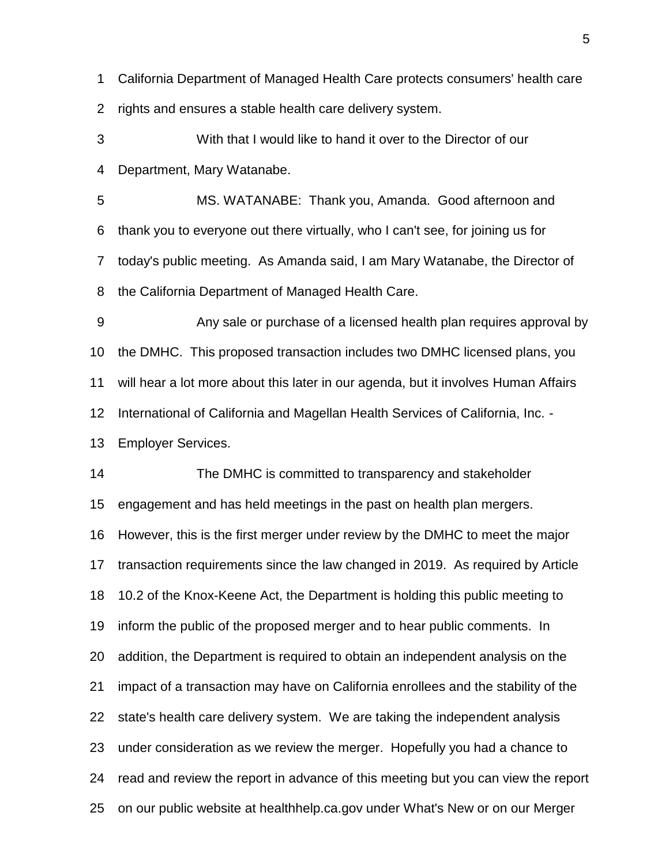California Department of Managed Health Care protects consumers' health care

rights and ensures a stable health care delivery system.

3 With that I would like to hand it over to the Director of our Department, Mary Watanabe.

5 MS. WATANABE: Thank you, Amanda. Good afternoon and thank you to everyone out there virtually, who I can't see, for joining us for today's public meeting. As Amanda said, I am Mary Watanabe, the Director of the California Department of Managed Health Care.

9 Any sale or purchase of a licensed health plan requires approval by the DMHC. This proposed transaction includes two DMHC licensed plans, you will hear a lot more about this later in our agenda, but it involves Human Affairs International of California and Magellan Health Services of California, Inc. -

Employer Services.

14 The DMHC is committed to transparency and stakeholder engagement and has held meetings in the past on health plan mergers. However, this is the first merger under review by the DMHC to meet the major transaction requirements since the law changed in 2019. As required by Article 10.2 of the Knox-Keene Act, the Department is holding this public meeting to inform the public of the proposed merger and to hear public comments. In addition, the Department is required to obtain an independent analysis on the impact of a transaction may have on California enrollees and the stability of the state's health care delivery system. We are taking the independent analysis under consideration as we review the merger. Hopefully you had a chance to read and review the report in advance of this meeting but you can view the report on our public website at healthhelp.ca.gov under What's New or on our Merger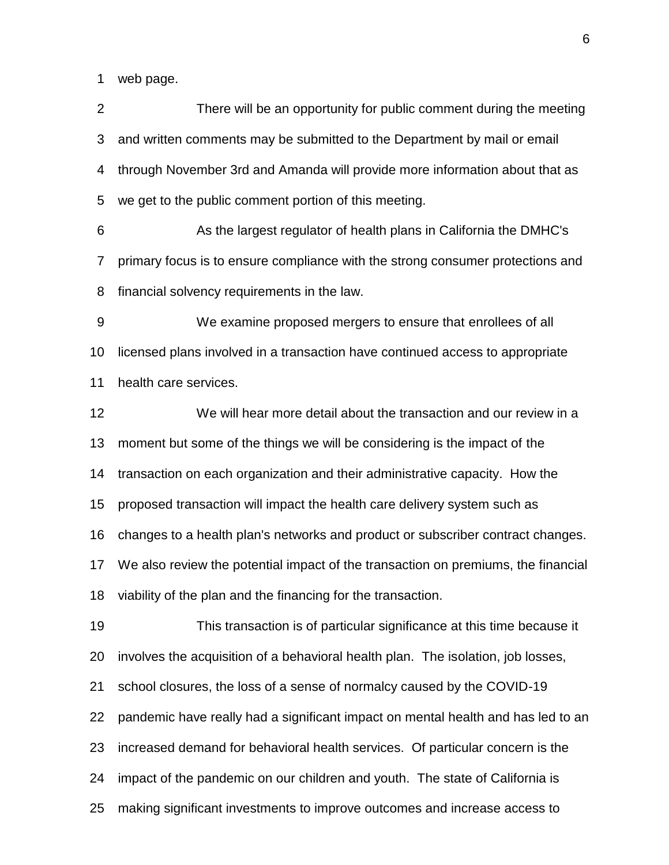web page.

2 There will be an opportunity for public comment during the meeting and written comments may be submitted to the Department by mail or email through November 3rd and Amanda will provide more information about that as we get to the public comment portion of this meeting. 6 As the largest regulator of health plans in California the DMHC's primary focus is to ensure compliance with the strong consumer protections and financial solvency requirements in the law. 9 We examine proposed mergers to ensure that enrollees of all licensed plans involved in a transaction have continued access to appropriate health care services. 12 We will hear more detail about the transaction and our review in a moment but some of the things we will be considering is the impact of the transaction on each organization and their administrative capacity. How the proposed transaction will impact the health care delivery system such as changes to a health plan's networks and product or subscriber contract changes. We also review the potential impact of the transaction on premiums, the financial viability of the plan and the financing for the transaction. 19 This transaction is of particular significance at this time because it involves the acquisition of a behavioral health plan. The isolation, job losses, school closures, the loss of a sense of normalcy caused by the COVID-19 pandemic have really had a significant impact on mental health and has led to an increased demand for behavioral health services. Of particular concern is the impact of the pandemic on our children and youth. The state of California is making significant investments to improve outcomes and increase access to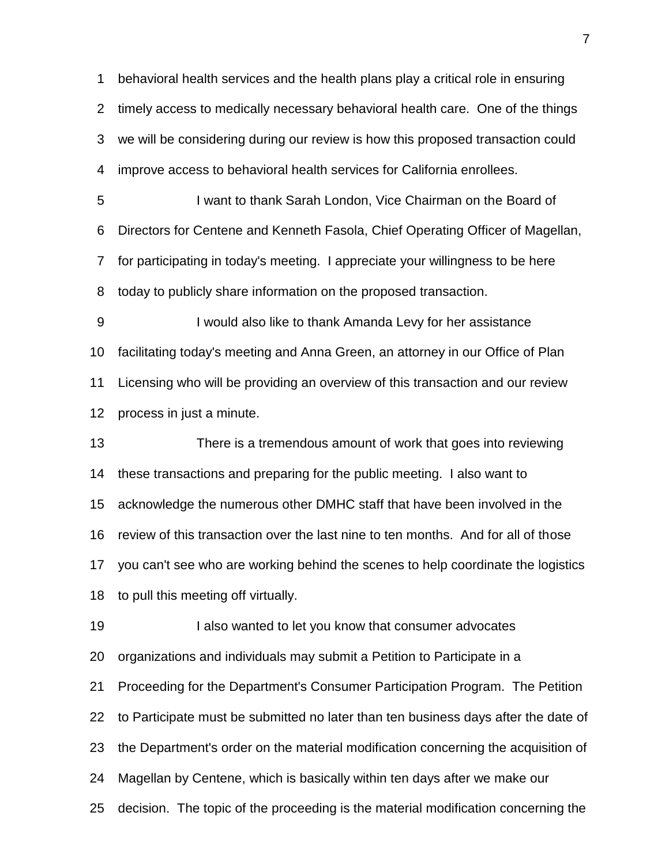behavioral health services and the health plans play a critical role in ensuring timely access to medically necessary behavioral health care. One of the things we will be considering during our review is how this proposed transaction could improve access to behavioral health services for California enrollees. 5 I want to thank Sarah London, Vice Chairman on the Board of Directors for Centene and Kenneth Fasola, Chief Operating Officer of Magellan, for participating in today's meeting. I appreciate your willingness to be here today to publicly share information on the proposed transaction. 9 I would also like to thank Amanda Levy for her assistance facilitating today's meeting and Anna Green, an attorney in our Office of Plan Licensing who will be providing an overview of this transaction and our review process in just a minute. 13 There is a tremendous amount of work that goes into reviewing these transactions and preparing for the public meeting. I also want to acknowledge the numerous other DMHC staff that have been involved in the review of this transaction over the last nine to ten months. And for all of those you can't see who are working behind the scenes to help coordinate the logistics to pull this meeting off virtually. **I also wanted to let you know that consumer advocates**  organizations and individuals may submit a Petition to Participate in a Proceeding for the Department's Consumer Participation Program. The Petition

 to Participate must be submitted no later than ten business days after the date of the Department's order on the material modification concerning the acquisition of Magellan by Centene, which is basically within ten days after we make our

decision. The topic of the proceeding is the material modification concerning the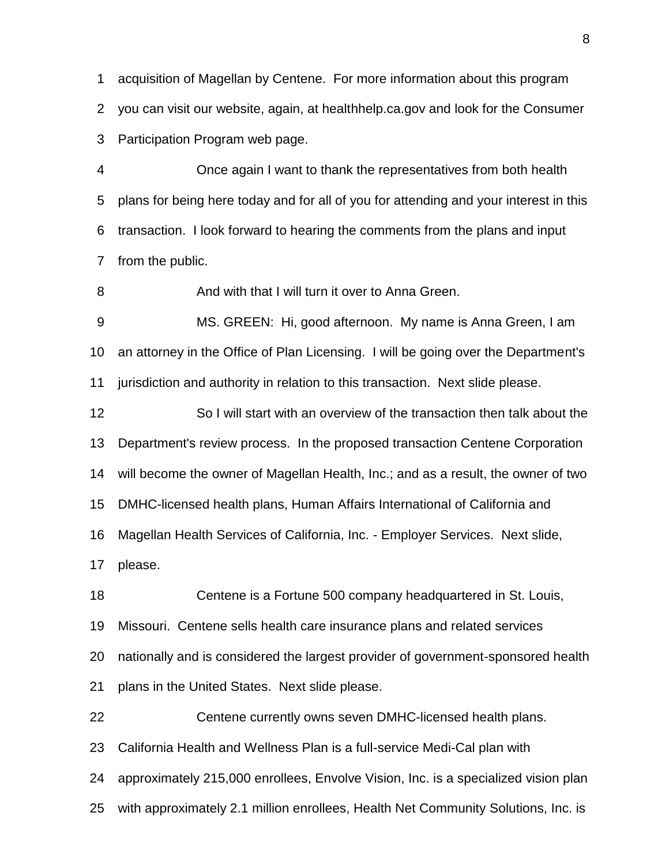acquisition of Magellan by Centene. For more information about this program you can visit our website, again, at healthhelp.ca.gov and look for the Consumer Participation Program web page.

4 Once again I want to thank the representatives from both health plans for being here today and for all of you for attending and your interest in this transaction. I look forward to hearing the comments from the plans and input from the public.

**And with that I will turn it over to Anna Green.** 

9 MS. GREEN: Hi, good afternoon. My name is Anna Green, I am an attorney in the Office of Plan Licensing. I will be going over the Department's jurisdiction and authority in relation to this transaction. Next slide please.

12 So I will start with an overview of the transaction then talk about the Department's review process. In the proposed transaction Centene Corporation will become the owner of Magellan Health, Inc.; and as a result, the owner of two DMHC-licensed health plans, Human Affairs International of California and Magellan Health Services of California, Inc. - Employer Services. Next slide,

please.

18 Centene is a Fortune 500 company headquartered in St. Louis,

Missouri. Centene sells health care insurance plans and related services

nationally and is considered the largest provider of government-sponsored health

plans in the United States. Next slide please.

22 Centene currently owns seven DMHC-licensed health plans. California Health and Wellness Plan is a full-service Medi-Cal plan with approximately 215,000 enrollees, Envolve Vision, Inc. is a specialized vision plan with approximately 2.1 million enrollees, Health Net Community Solutions, Inc. is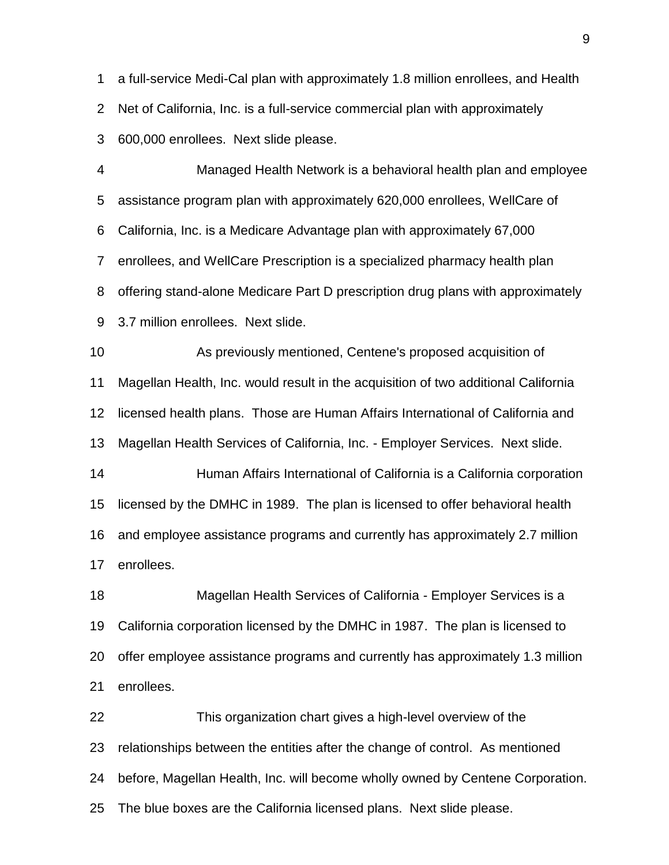a full-service Medi-Cal plan with approximately 1.8 million enrollees, and Health Net of California, Inc. is a full-service commercial plan with approximately 600,000 enrollees. Next slide please.

4 Managed Health Network is a behavioral health plan and employee assistance program plan with approximately 620,000 enrollees, WellCare of California, Inc. is a Medicare Advantage plan with approximately 67,000 enrollees, and WellCare Prescription is a specialized pharmacy health plan offering stand-alone Medicare Part D prescription drug plans with approximately 3.7 million enrollees. Next slide.

10 As previously mentioned, Centene's proposed acquisition of Magellan Health, Inc. would result in the acquisition of two additional California licensed health plans. Those are Human Affairs International of California and Magellan Health Services of California, Inc. - Employer Services. Next slide. 14 Human Affairs International of California is a California corporation licensed by the DMHC in 1989. The plan is licensed to offer behavioral health

 and employee assistance programs and currently has approximately 2.7 million enrollees.

18 Magellan Health Services of California - Employer Services is a California corporation licensed by the DMHC in 1987. The plan is licensed to offer employee assistance programs and currently has approximately 1.3 million enrollees.

22 This organization chart gives a high-level overview of the relationships between the entities after the change of control. As mentioned before, Magellan Health, Inc. will become wholly owned by Centene Corporation. The blue boxes are the California licensed plans. Next slide please.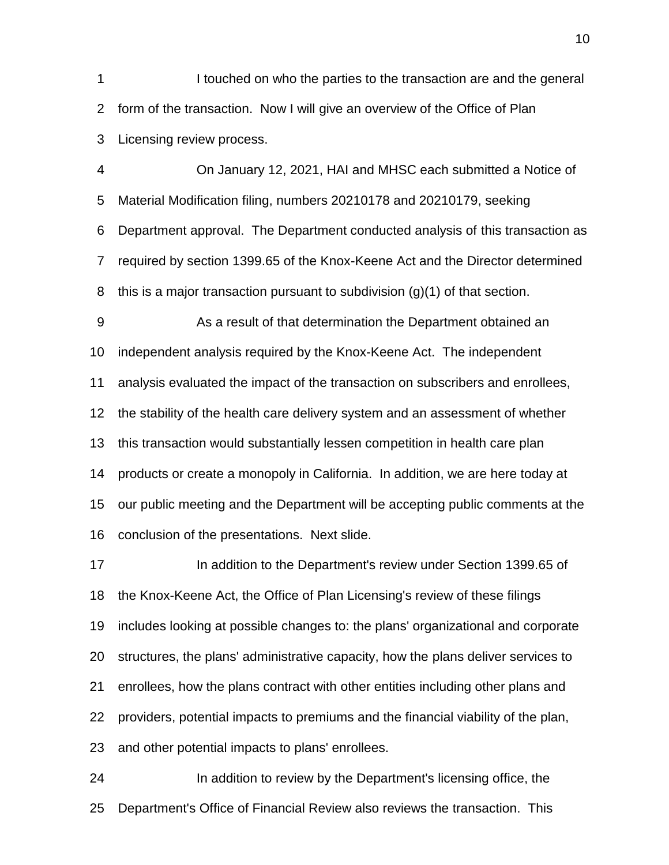1 I touched on who the parties to the transaction are and the general form of the transaction. Now I will give an overview of the Office of Plan Licensing review process.

4 On January 12, 2021, HAI and MHSC each submitted a Notice of Material Modification filing, numbers 20210178 and 20210179, seeking Department approval. The Department conducted analysis of this transaction as required by section 1399.65 of the Knox-Keene Act and the Director determined this is a major transaction pursuant to subdivision (g)(1) of that section.

9 As a result of that determination the Department obtained an independent analysis required by the Knox-Keene Act. The independent analysis evaluated the impact of the transaction on subscribers and enrollees, the stability of the health care delivery system and an assessment of whether this transaction would substantially lessen competition in health care plan products or create a monopoly in California. In addition, we are here today at our public meeting and the Department will be accepting public comments at the conclusion of the presentations. Next slide.

**In addition to the Department's review under Section 1399.65 of**  the Knox-Keene Act, the Office of Plan Licensing's review of these filings includes looking at possible changes to: the plans' organizational and corporate structures, the plans' administrative capacity, how the plans deliver services to enrollees, how the plans contract with other entities including other plans and providers, potential impacts to premiums and the financial viability of the plan, and other potential impacts to plans' enrollees.

24 In addition to review by the Department's licensing office, the Department's Office of Financial Review also reviews the transaction. This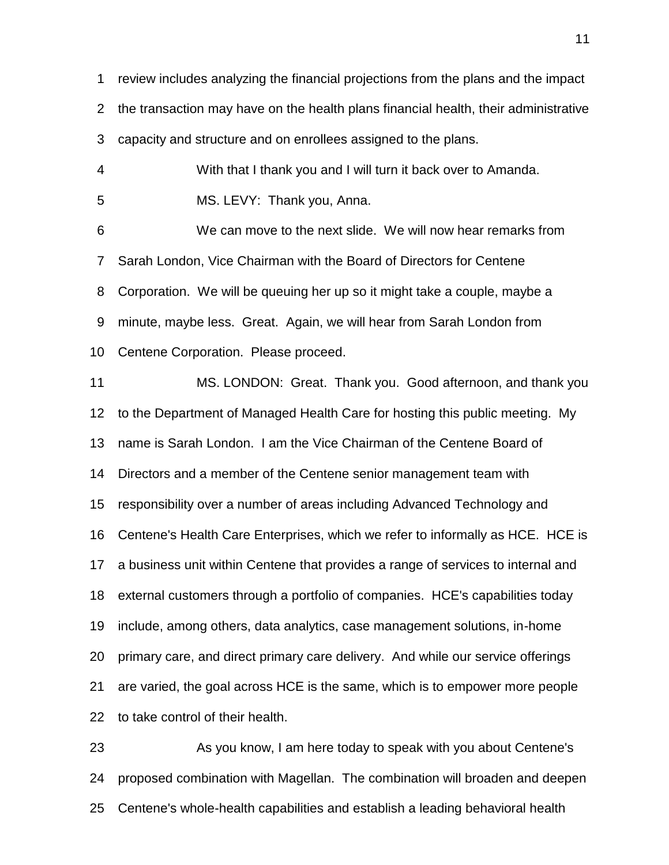review includes analyzing the financial projections from the plans and the impact the transaction may have on the health plans financial health, their administrative

capacity and structure and on enrollees assigned to the plans.

4 With that I thank you and I will turn it back over to Amanda. 5 MS. LEVY: Thank you, Anna.

6 We can move to the next slide. We will now hear remarks from Sarah London, Vice Chairman with the Board of Directors for Centene Corporation. We will be queuing her up so it might take a couple, maybe a minute, maybe less. Great. Again, we will hear from Sarah London from Centene Corporation. Please proceed.

11 MS. LONDON: Great. Thank you. Good afternoon, and thank you to the Department of Managed Health Care for hosting this public meeting. My name is Sarah London. I am the Vice Chairman of the Centene Board of Directors and a member of the Centene senior management team with responsibility over a number of areas including Advanced Technology and Centene's Health Care Enterprises, which we refer to informally as HCE. HCE is a business unit within Centene that provides a range of services to internal and external customers through a portfolio of companies. HCE's capabilities today include, among others, data analytics, case management solutions, in-home primary care, and direct primary care delivery. And while our service offerings are varied, the goal across HCE is the same, which is to empower more people to take control of their health.

23 As you know, I am here today to speak with you about Centene's proposed combination with Magellan. The combination will broaden and deepen Centene's whole-health capabilities and establish a leading behavioral health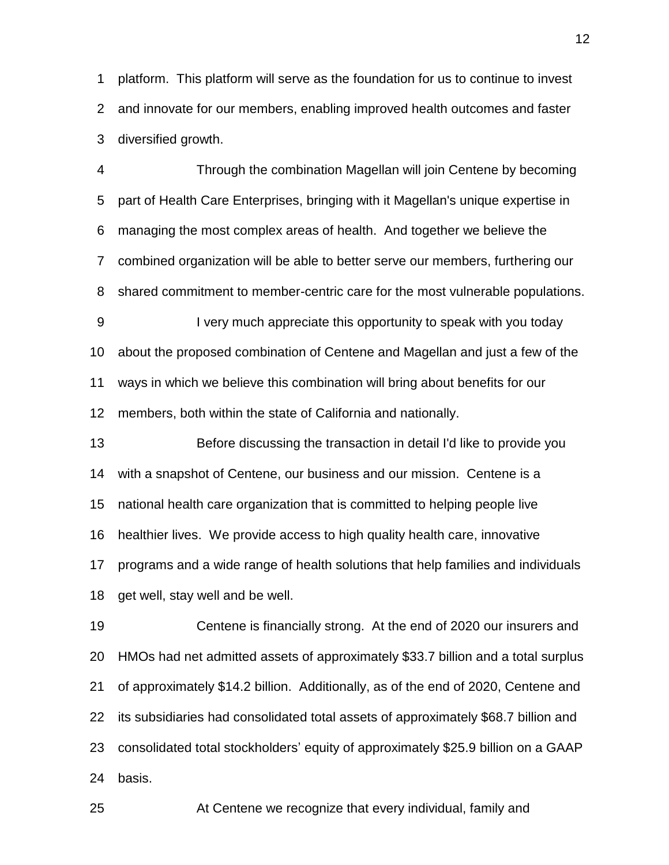platform. This platform will serve as the foundation for us to continue to invest and innovate for our members, enabling improved health outcomes and faster diversified growth.

4 Through the combination Magellan will join Centene by becoming part of Health Care Enterprises, bringing with it Magellan's unique expertise in managing the most complex areas of health. And together we believe the combined organization will be able to better serve our members, furthering our shared commitment to member-centric care for the most vulnerable populations. 9 I very much appreciate this opportunity to speak with you today about the proposed combination of Centene and Magellan and just a few of the ways in which we believe this combination will bring about benefits for our

members, both within the state of California and nationally.

13 Before discussing the transaction in detail I'd like to provide you with a snapshot of Centene, our business and our mission. Centene is a national health care organization that is committed to helping people live healthier lives. We provide access to high quality health care, innovative programs and a wide range of health solutions that help families and individuals get well, stay well and be well.

19 Centene is financially strong. At the end of 2020 our insurers and HMOs had net admitted assets of approximately \$33.7 billion and a total surplus of approximately \$14.2 billion. Additionally, as of the end of 2020, Centene and its subsidiaries had consolidated total assets of approximately \$68.7 billion and consolidated total stockholders' equity of approximately \$25.9 billion on a GAAP basis.

25 At Centene we recognize that every individual, family and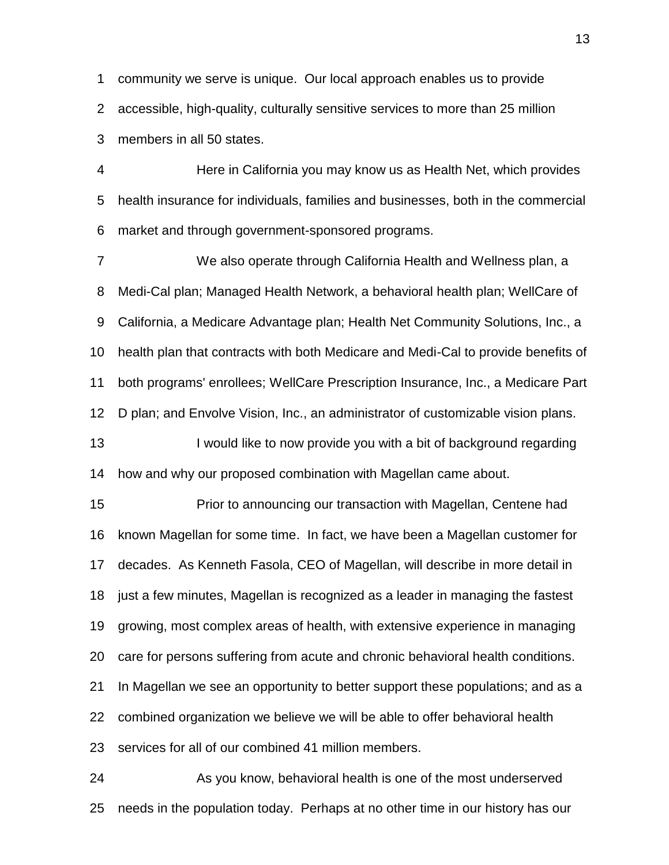community we serve is unique. Our local approach enables us to provide accessible, high-quality, culturally sensitive services to more than 25 million members in all 50 states.

4 Here in California you may know us as Health Net, which provides health insurance for individuals, families and businesses, both in the commercial market and through government-sponsored programs.

7 We also operate through California Health and Wellness plan, a Medi-Cal plan; Managed Health Network, a behavioral health plan; WellCare of California, a Medicare Advantage plan; Health Net Community Solutions, Inc., a health plan that contracts with both Medicare and Medi-Cal to provide benefits of both programs' enrollees; WellCare Prescription Insurance, Inc., a Medicare Part D plan; and Envolve Vision, Inc., an administrator of customizable vision plans. 13 I would like to now provide you with a bit of background regarding

how and why our proposed combination with Magellan came about.

15 Prior to announcing our transaction with Magellan, Centene had known Magellan for some time. In fact, we have been a Magellan customer for decades. As Kenneth Fasola, CEO of Magellan, will describe in more detail in just a few minutes, Magellan is recognized as a leader in managing the fastest growing, most complex areas of health, with extensive experience in managing care for persons suffering from acute and chronic behavioral health conditions. In Magellan we see an opportunity to better support these populations; and as a combined organization we believe we will be able to offer behavioral health services for all of our combined 41 million members.

24 As you know, behavioral health is one of the most underserved needs in the population today. Perhaps at no other time in our history has our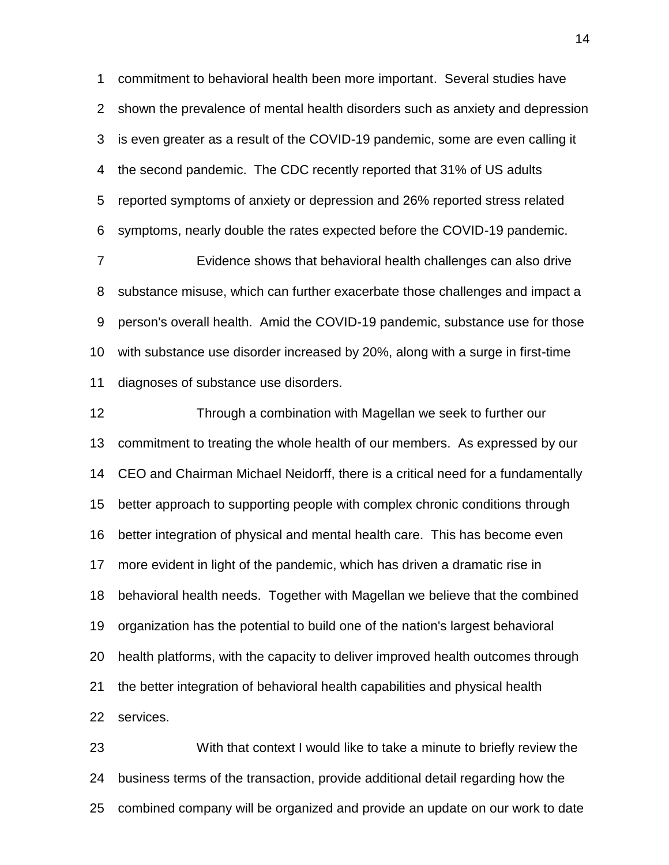commitment to behavioral health been more important. Several studies have shown the prevalence of mental health disorders such as anxiety and depression is even greater as a result of the COVID-19 pandemic, some are even calling it the second pandemic. The CDC recently reported that 31% of US adults reported symptoms of anxiety or depression and 26% reported stress related symptoms, nearly double the rates expected before the COVID-19 pandemic. 7 Evidence shows that behavioral health challenges can also drive substance misuse, which can further exacerbate those challenges and impact a person's overall health. Amid the COVID-19 pandemic, substance use for those with substance use disorder increased by 20%, along with a surge in first-time diagnoses of substance use disorders.

12 Through a combination with Magellan we seek to further our commitment to treating the whole health of our members. As expressed by our CEO and Chairman Michael Neidorff, there is a critical need for a fundamentally better approach to supporting people with complex chronic conditions through better integration of physical and mental health care. This has become even more evident in light of the pandemic, which has driven a dramatic rise in behavioral health needs. Together with Magellan we believe that the combined organization has the potential to build one of the nation's largest behavioral health platforms, with the capacity to deliver improved health outcomes through the better integration of behavioral health capabilities and physical health services.

23 With that context I would like to take a minute to briefly review the business terms of the transaction, provide additional detail regarding how the combined company will be organized and provide an update on our work to date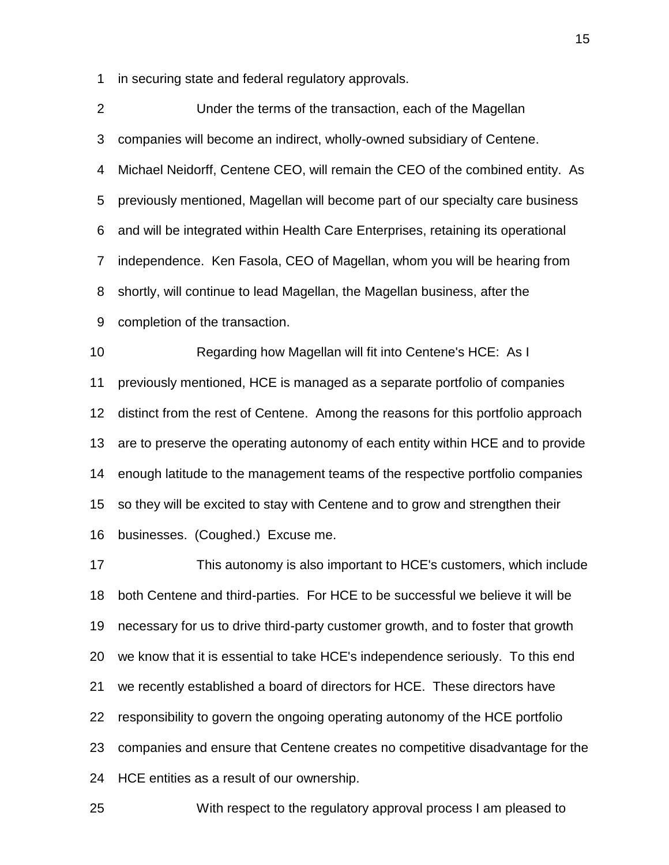in securing state and federal regulatory approvals.

2 Under the terms of the transaction, each of the Magellan companies will become an indirect, wholly-owned subsidiary of Centene. Michael Neidorff, Centene CEO, will remain the CEO of the combined entity. As previously mentioned, Magellan will become part of our specialty care business and will be integrated within Health Care Enterprises, retaining its operational independence. Ken Fasola, CEO of Magellan, whom you will be hearing from shortly, will continue to lead Magellan, the Magellan business, after the completion of the transaction. 10 Regarding how Magellan will fit into Centene's HCE: As I previously mentioned, HCE is managed as a separate portfolio of companies distinct from the rest of Centene. Among the reasons for this portfolio approach are to preserve the operating autonomy of each entity within HCE and to provide enough latitude to the management teams of the respective portfolio companies so they will be excited to stay with Centene and to grow and strengthen their businesses. (Coughed.) Excuse me. 17 This autonomy is also important to HCE's customers, which include

 both Centene and third-parties. For HCE to be successful we believe it will be necessary for us to drive third-party customer growth, and to foster that growth we know that it is essential to take HCE's independence seriously. To this end we recently established a board of directors for HCE. These directors have responsibility to govern the ongoing operating autonomy of the HCE portfolio companies and ensure that Centene creates no competitive disadvantage for the HCE entities as a result of our ownership.

25 With respect to the regulatory approval process I am pleased to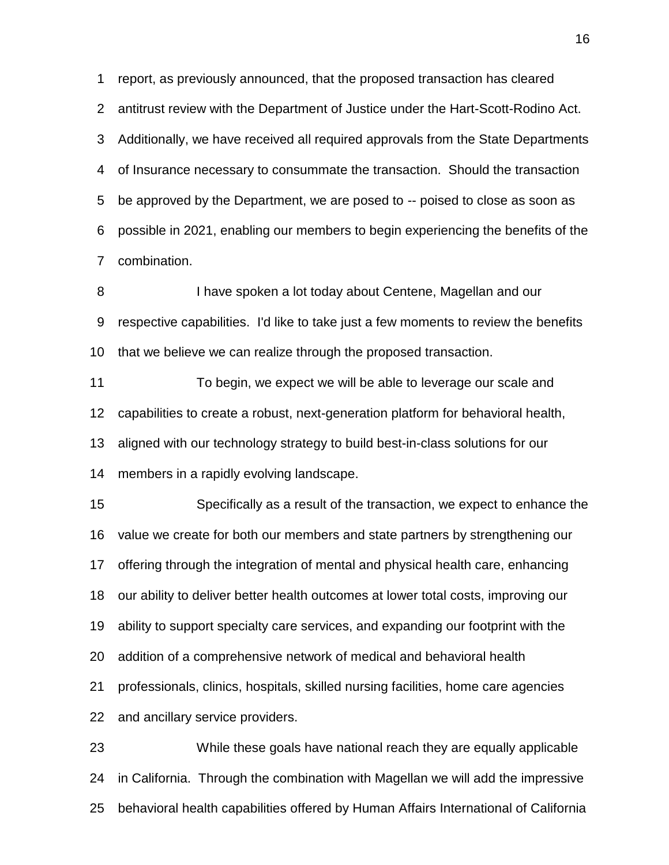report, as previously announced, that the proposed transaction has cleared antitrust review with the Department of Justice under the Hart-Scott-Rodino Act. Additionally, we have received all required approvals from the State Departments of Insurance necessary to consummate the transaction. Should the transaction be approved by the Department, we are posed to -- poised to close as soon as possible in 2021, enabling our members to begin experiencing the benefits of the combination.

8 I have spoken a lot today about Centene, Magellan and our respective capabilities. I'd like to take just a few moments to review the benefits that we believe we can realize through the proposed transaction.

11 To begin, we expect we will be able to leverage our scale and capabilities to create a robust, next-generation platform for behavioral health, aligned with our technology strategy to build best-in-class solutions for our members in a rapidly evolving landscape.

15 Specifically as a result of the transaction, we expect to enhance the value we create for both our members and state partners by strengthening our offering through the integration of mental and physical health care, enhancing our ability to deliver better health outcomes at lower total costs, improving our ability to support specialty care services, and expanding our footprint with the addition of a comprehensive network of medical and behavioral health professionals, clinics, hospitals, skilled nursing facilities, home care agencies and ancillary service providers.

23 While these goals have national reach they are equally applicable in California. Through the combination with Magellan we will add the impressive behavioral health capabilities offered by Human Affairs International of California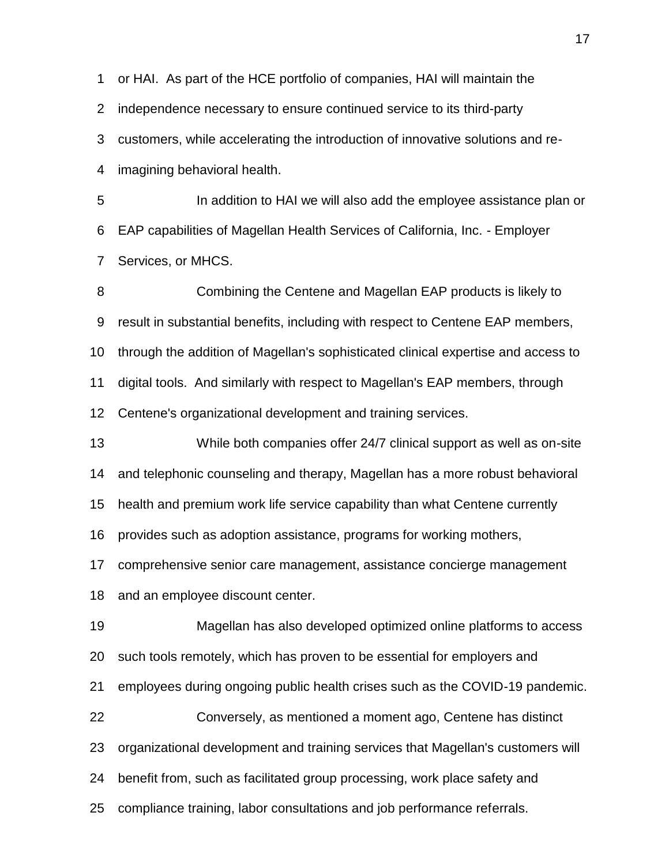or HAI. As part of the HCE portfolio of companies, HAI will maintain the independence necessary to ensure continued service to its third-party customers, while accelerating the introduction of innovative solutions and re- imagining behavioral health. 5 In addition to HAI we will also add the employee assistance plan or EAP capabilities of Magellan Health Services of California, Inc. - Employer Services, or MHCS. 8 Combining the Centene and Magellan EAP products is likely to result in substantial benefits, including with respect to Centene EAP members, through the addition of Magellan's sophisticated clinical expertise and access to digital tools. And similarly with respect to Magellan's EAP members, through Centene's organizational development and training services. 13 While both companies offer 24/7 clinical support as well as on-site and telephonic counseling and therapy, Magellan has a more robust behavioral health and premium work life service capability than what Centene currently provides such as adoption assistance, programs for working mothers, comprehensive senior care management, assistance concierge management and an employee discount center. 19 Magellan has also developed optimized online platforms to access such tools remotely, which has proven to be essential for employers and employees during ongoing public health crises such as the COVID-19 pandemic. 22 Conversely, as mentioned a moment ago, Centene has distinct organizational development and training services that Magellan's customers will benefit from, such as facilitated group processing, work place safety and compliance training, labor consultations and job performance referrals.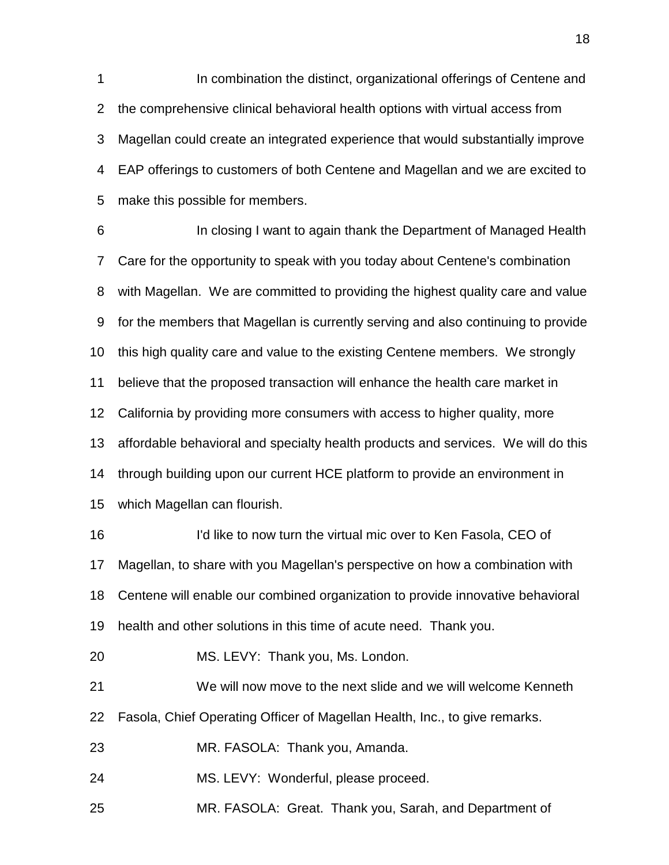**In combination the distinct, organizational offerings of Centene and**  the comprehensive clinical behavioral health options with virtual access from Magellan could create an integrated experience that would substantially improve EAP offerings to customers of both Centene and Magellan and we are excited to make this possible for members.

6 In closing I want to again thank the Department of Managed Health Care for the opportunity to speak with you today about Centene's combination with Magellan. We are committed to providing the highest quality care and value for the members that Magellan is currently serving and also continuing to provide this high quality care and value to the existing Centene members. We strongly believe that the proposed transaction will enhance the health care market in California by providing more consumers with access to higher quality, more affordable behavioral and specialty health products and services. We will do this through building upon our current HCE platform to provide an environment in which Magellan can flourish.

16 I'd like to now turn the virtual mic over to Ken Fasola, CEO of Magellan, to share with you Magellan's perspective on how a combination with Centene will enable our combined organization to provide innovative behavioral health and other solutions in this time of acute need. Thank you.

20 MS. LEVY: Thank you, Ms. London.

21 We will now move to the next slide and we will welcome Kenneth

Fasola, Chief Operating Officer of Magellan Health, Inc., to give remarks.

23 MR. FASOLA: Thank you, Amanda.

24 MS. LEVY: Wonderful, please proceed.

25 MR. FASOLA: Great. Thank you, Sarah, and Department of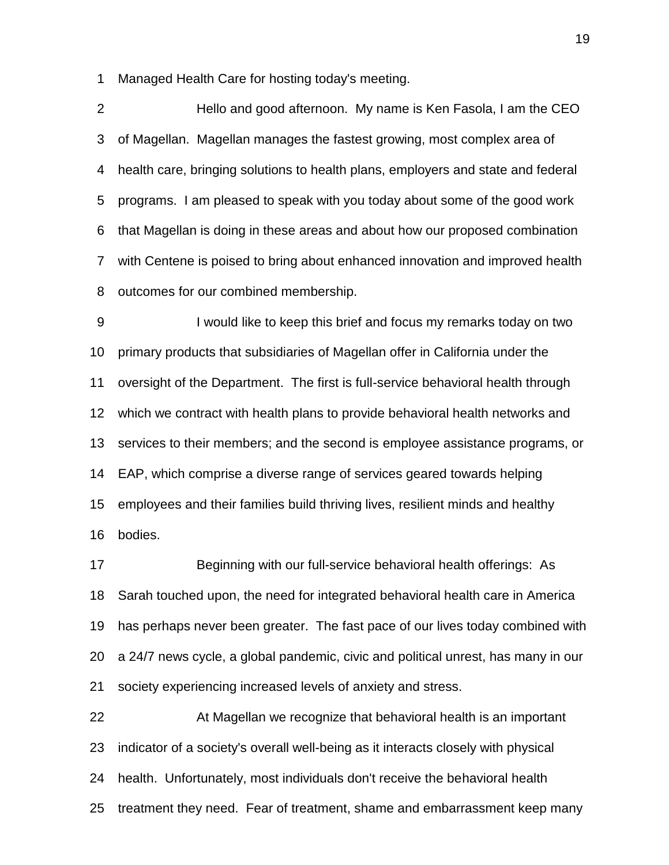Managed Health Care for hosting today's meeting.

2 Hello and good afternoon. My name is Ken Fasola, I am the CEO of Magellan. Magellan manages the fastest growing, most complex area of health care, bringing solutions to health plans, employers and state and federal programs. I am pleased to speak with you today about some of the good work that Magellan is doing in these areas and about how our proposed combination with Centene is poised to bring about enhanced innovation and improved health outcomes for our combined membership.

9 I would like to keep this brief and focus my remarks today on two primary products that subsidiaries of Magellan offer in California under the oversight of the Department. The first is full-service behavioral health through which we contract with health plans to provide behavioral health networks and services to their members; and the second is employee assistance programs, or EAP, which comprise a diverse range of services geared towards helping employees and their families build thriving lives, resilient minds and healthy bodies.

17 Beginning with our full-service behavioral health offerings: As Sarah touched upon, the need for integrated behavioral health care in America has perhaps never been greater. The fast pace of our lives today combined with a 24/7 news cycle, a global pandemic, civic and political unrest, has many in our society experiencing increased levels of anxiety and stress.

22 At Magellan we recognize that behavioral health is an important indicator of a society's overall well-being as it interacts closely with physical health. Unfortunately, most individuals don't receive the behavioral health treatment they need. Fear of treatment, shame and embarrassment keep many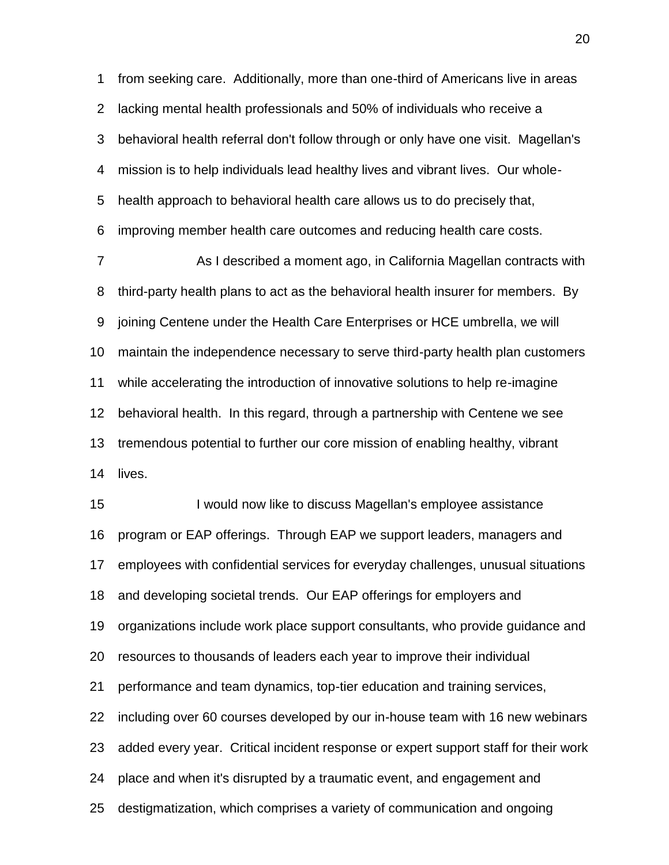from seeking care. Additionally, more than one-third of Americans live in areas lacking mental health professionals and 50% of individuals who receive a behavioral health referral don't follow through or only have one visit. Magellan's mission is to help individuals lead healthy lives and vibrant lives. Our whole- health approach to behavioral health care allows us to do precisely that, improving member health care outcomes and reducing health care costs.

7 As I described a moment ago, in California Magellan contracts with third-party health plans to act as the behavioral health insurer for members. By joining Centene under the Health Care Enterprises or HCE umbrella, we will maintain the independence necessary to serve third-party health plan customers while accelerating the introduction of innovative solutions to help re-imagine behavioral health. In this regard, through a partnership with Centene we see tremendous potential to further our core mission of enabling healthy, vibrant lives.

15 I would now like to discuss Magellan's employee assistance program or EAP offerings. Through EAP we support leaders, managers and employees with confidential services for everyday challenges, unusual situations and developing societal trends. Our EAP offerings for employers and organizations include work place support consultants, who provide guidance and resources to thousands of leaders each year to improve their individual performance and team dynamics, top-tier education and training services, including over 60 courses developed by our in-house team with 16 new webinars added every year. Critical incident response or expert support staff for their work place and when it's disrupted by a traumatic event, and engagement and destigmatization, which comprises a variety of communication and ongoing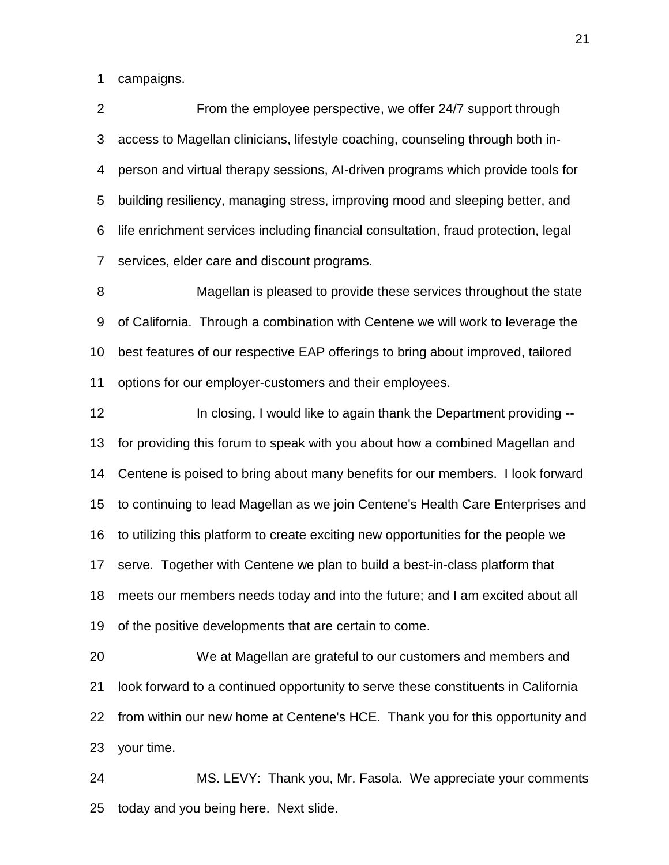campaigns.

2 From the employee perspective, we offer 24/7 support through access to Magellan clinicians, lifestyle coaching, counseling through both in- person and virtual therapy sessions, AI-driven programs which provide tools for building resiliency, managing stress, improving mood and sleeping better, and life enrichment services including financial consultation, fraud protection, legal services, elder care and discount programs.

8 Magellan is pleased to provide these services throughout the state of California. Through a combination with Centene we will work to leverage the best features of our respective EAP offerings to bring about improved, tailored options for our employer-customers and their employees.

**In closing, I would like to again thank the Department providing --** for providing this forum to speak with you about how a combined Magellan and Centene is poised to bring about many benefits for our members. I look forward to continuing to lead Magellan as we join Centene's Health Care Enterprises and to utilizing this platform to create exciting new opportunities for the people we serve. Together with Centene we plan to build a best-in-class platform that meets our members needs today and into the future; and I am excited about all of the positive developments that are certain to come.

20 We at Magellan are grateful to our customers and members and look forward to a continued opportunity to serve these constituents in California from within our new home at Centene's HCE. Thank you for this opportunity and your time.

24 MS. LEVY: Thank you, Mr. Fasola. We appreciate your comments today and you being here. Next slide.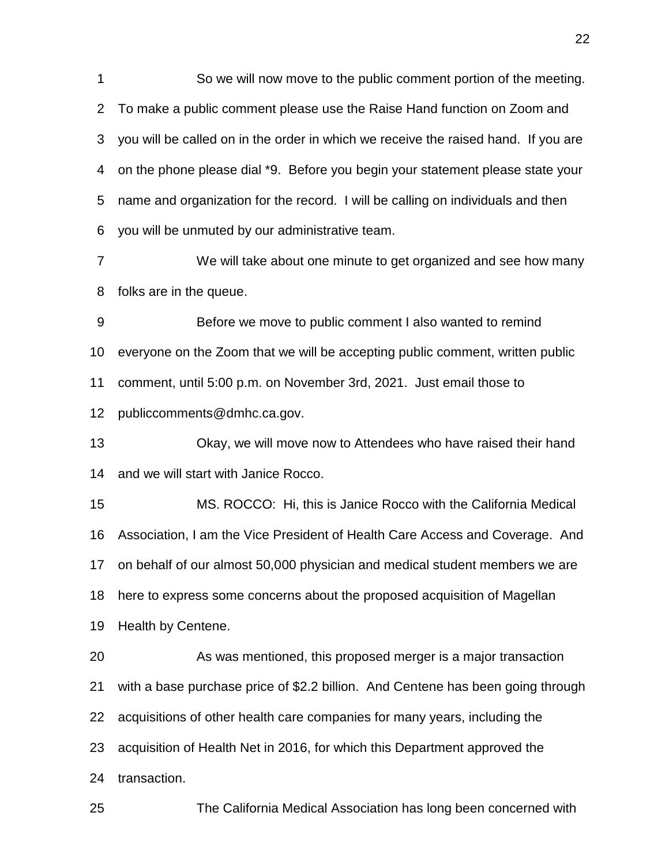1 So we will now move to the public comment portion of the meeting. To make a public comment please use the Raise Hand function on Zoom and you will be called on in the order in which we receive the raised hand. If you are on the phone please dial \*9. Before you begin your statement please state your name and organization for the record. I will be calling on individuals and then you will be unmuted by our administrative team.

7 We will take about one minute to get organized and see how many folks are in the queue.

9 Before we move to public comment I also wanted to remind everyone on the Zoom that we will be accepting public comment, written public comment, until 5:00 p.m. on November 3rd, 2021. Just email those to publiccomments@dmhc.ca.gov. 13 Okay, we will move now to Attendees who have raised their hand and we will start with Janice Rocco. 15 MS. ROCCO: Hi, this is Janice Rocco with the California Medical

 Association, I am the Vice President of Health Care Access and Coverage. And on behalf of our almost 50,000 physician and medical student members we are here to express some concerns about the proposed acquisition of Magellan Health by Centene.

20 As was mentioned, this proposed merger is a major transaction with a base purchase price of \$2.2 billion. And Centene has been going through acquisitions of other health care companies for many years, including the acquisition of Health Net in 2016, for which this Department approved the transaction.

25 The California Medical Association has long been concerned with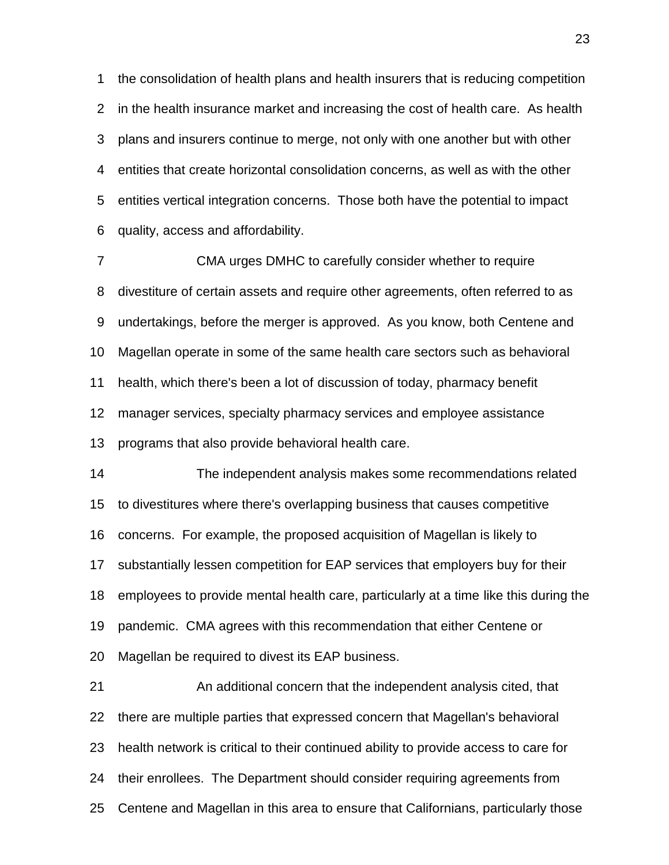the consolidation of health plans and health insurers that is reducing competition in the health insurance market and increasing the cost of health care. As health plans and insurers continue to merge, not only with one another but with other entities that create horizontal consolidation concerns, as well as with the other entities vertical integration concerns. Those both have the potential to impact quality, access and affordability.

7 CMA urges DMHC to carefully consider whether to require divestiture of certain assets and require other agreements, often referred to as undertakings, before the merger is approved. As you know, both Centene and Magellan operate in some of the same health care sectors such as behavioral health, which there's been a lot of discussion of today, pharmacy benefit manager services, specialty pharmacy services and employee assistance programs that also provide behavioral health care.

14 The independent analysis makes some recommendations related to divestitures where there's overlapping business that causes competitive concerns. For example, the proposed acquisition of Magellan is likely to substantially lessen competition for EAP services that employers buy for their employees to provide mental health care, particularly at a time like this during the pandemic. CMA agrees with this recommendation that either Centene or Magellan be required to divest its EAP business.

21 An additional concern that the independent analysis cited, that there are multiple parties that expressed concern that Magellan's behavioral health network is critical to their continued ability to provide access to care for their enrollees. The Department should consider requiring agreements from Centene and Magellan in this area to ensure that Californians, particularly those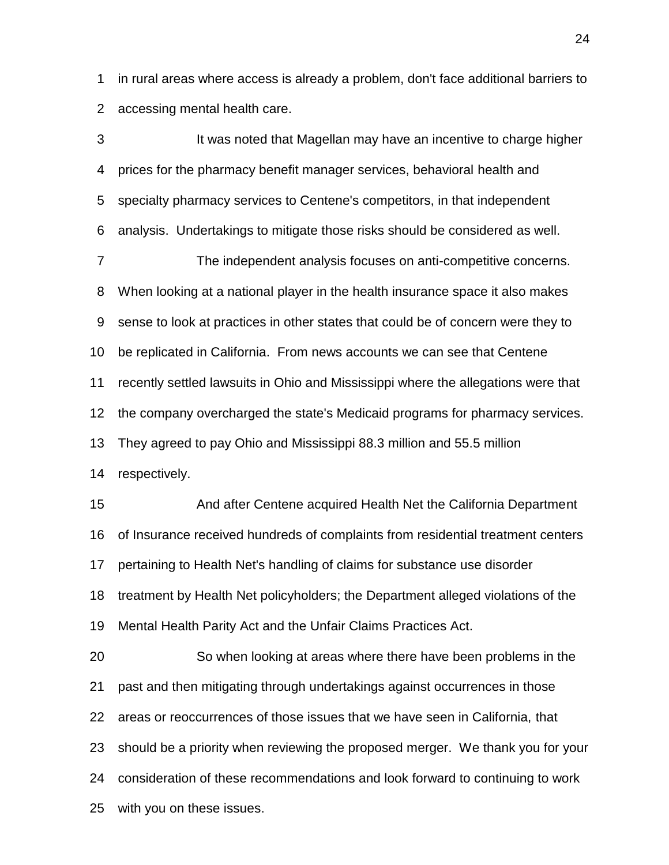in rural areas where access is already a problem, don't face additional barriers to accessing mental health care.

3 It was noted that Magellan may have an incentive to charge higher prices for the pharmacy benefit manager services, behavioral health and specialty pharmacy services to Centene's competitors, in that independent analysis. Undertakings to mitigate those risks should be considered as well. 7 The independent analysis focuses on anti-competitive concerns. When looking at a national player in the health insurance space it also makes sense to look at practices in other states that could be of concern were they to be replicated in California. From news accounts we can see that Centene recently settled lawsuits in Ohio and Mississippi where the allegations were that the company overcharged the state's Medicaid programs for pharmacy services. They agreed to pay Ohio and Mississippi 88.3 million and 55.5 million respectively. 15 And after Centene acquired Health Net the California Department of Insurance received hundreds of complaints from residential treatment centers pertaining to Health Net's handling of claims for substance use disorder treatment by Health Net policyholders; the Department alleged violations of the Mental Health Parity Act and the Unfair Claims Practices Act. 20 So when looking at areas where there have been problems in the past and then mitigating through undertakings against occurrences in those areas or reoccurrences of those issues that we have seen in California, that should be a priority when reviewing the proposed merger. We thank you for your consideration of these recommendations and look forward to continuing to work with you on these issues.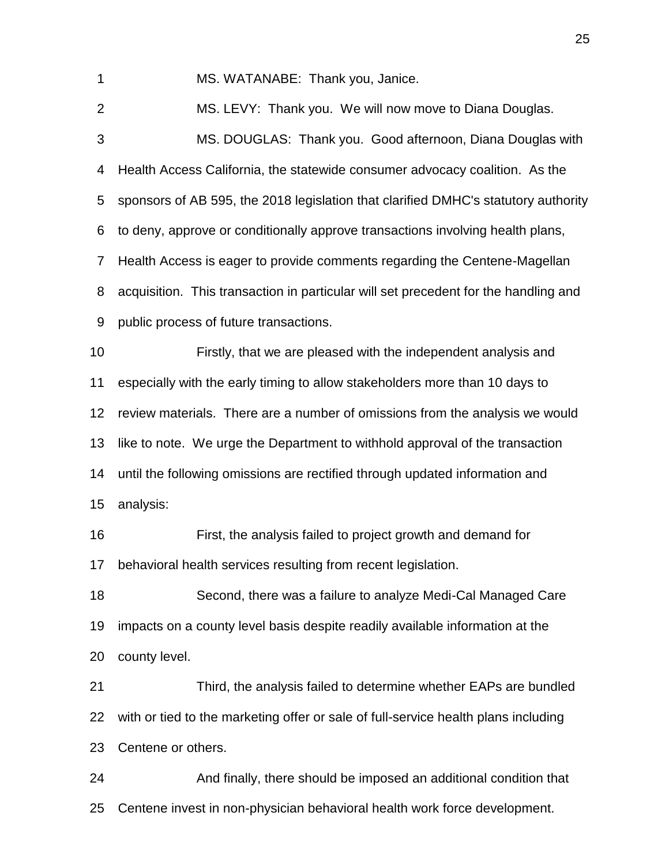1 MS. WATANABE: Thank you, Janice.

2 MS. LEVY: Thank you. We will now move to Diana Douglas. 3 MS. DOUGLAS: Thank you. Good afternoon, Diana Douglas with Health Access California, the statewide consumer advocacy coalition. As the sponsors of AB 595, the 2018 legislation that clarified DMHC's statutory authority to deny, approve or conditionally approve transactions involving health plans, Health Access is eager to provide comments regarding the Centene-Magellan acquisition. This transaction in particular will set precedent for the handling and public process of future transactions. 10 Firstly, that we are pleased with the independent analysis and especially with the early timing to allow stakeholders more than 10 days to review materials. There are a number of omissions from the analysis we would like to note. We urge the Department to withhold approval of the transaction until the following omissions are rectified through updated information and analysis: 16 First, the analysis failed to project growth and demand for behavioral health services resulting from recent legislation. 18 Second, there was a failure to analyze Medi-Cal Managed Care impacts on a county level basis despite readily available information at the county level. 21 Third, the analysis failed to determine whether EAPs are bundled with or tied to the marketing offer or sale of full-service health plans including Centene or others. 24 And finally, there should be imposed an additional condition that

Centene invest in non-physician behavioral health work force development.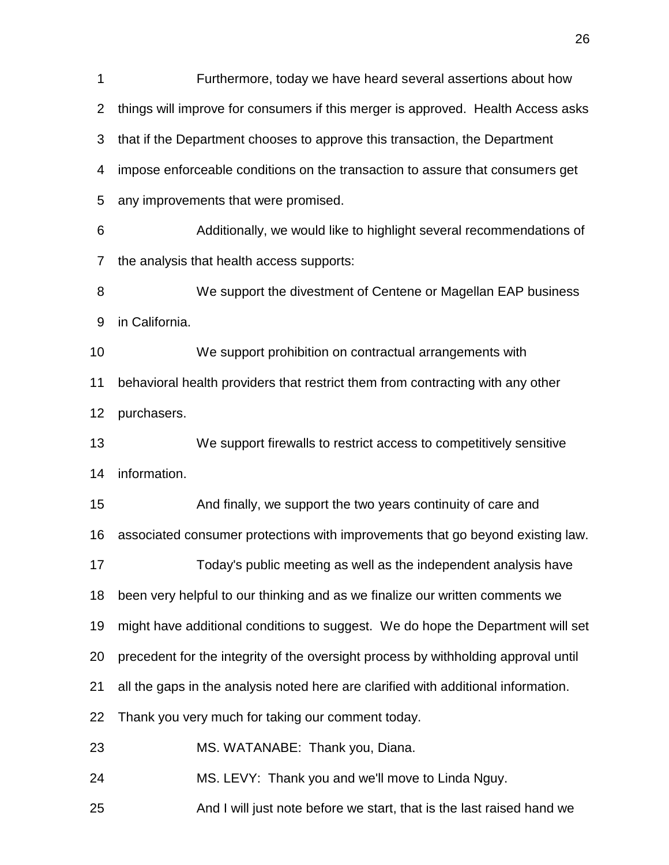| 1              | Furthermore, today we have heard several assertions about how                      |  |
|----------------|------------------------------------------------------------------------------------|--|
| $\overline{2}$ | things will improve for consumers if this merger is approved. Health Access asks   |  |
| 3              | that if the Department chooses to approve this transaction, the Department         |  |
| 4              | impose enforceable conditions on the transaction to assure that consumers get      |  |
| 5              | any improvements that were promised.                                               |  |
| 6              | Additionally, we would like to highlight several recommendations of                |  |
| 7              | the analysis that health access supports:                                          |  |
| 8              | We support the divestment of Centene or Magellan EAP business                      |  |
| 9              | in California.                                                                     |  |
| 10             | We support prohibition on contractual arrangements with                            |  |
| 11             | behavioral health providers that restrict them from contracting with any other     |  |
| 12             | purchasers.                                                                        |  |
| 13             | We support firewalls to restrict access to competitively sensitive                 |  |
| 14             | information.                                                                       |  |
| 15             | And finally, we support the two years continuity of care and                       |  |
| 16             | associated consumer protections with improvements that go beyond existing law.     |  |
| 17             | Today's public meeting as well as the independent analysis have                    |  |
| 18             | been very helpful to our thinking and as we finalize our written comments we       |  |
| 19             | might have additional conditions to suggest. We do hope the Department will set    |  |
| 20             | precedent for the integrity of the oversight process by withholding approval until |  |
| 21             | all the gaps in the analysis noted here are clarified with additional information. |  |
| 22             | Thank you very much for taking our comment today.                                  |  |
| 23             | MS. WATANABE: Thank you, Diana.                                                    |  |
| 24             | MS. LEVY: Thank you and we'll move to Linda Nguy.                                  |  |
| 25             | And I will just note before we start, that is the last raised hand we              |  |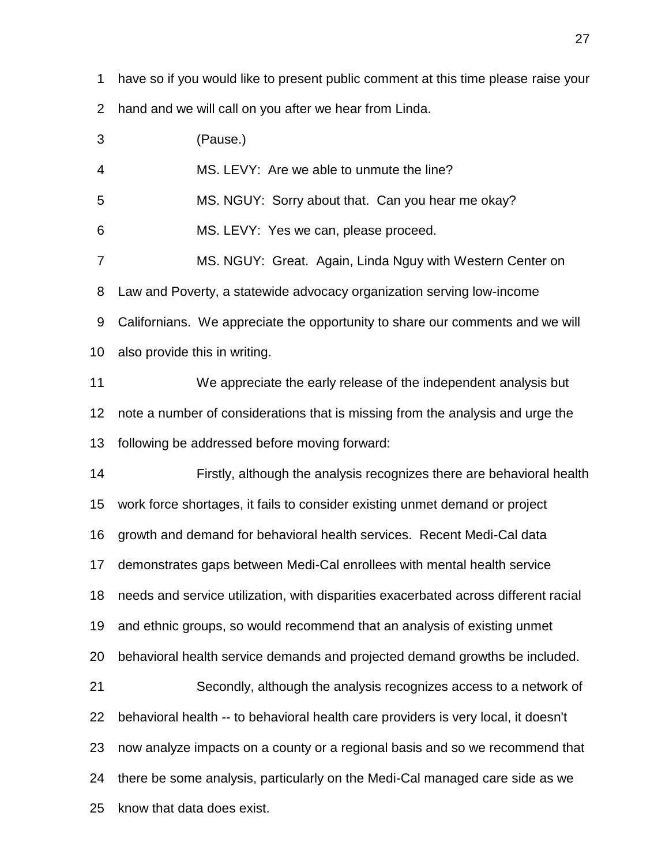have so if you would like to present public comment at this time please raise your hand and we will call on you after we hear from Linda.

| 3     | (Pause.)                                                                            |
|-------|-------------------------------------------------------------------------------------|
| 4     | MS. LEVY: Are we able to unmute the line?                                           |
| 5     | MS. NGUY: Sorry about that. Can you hear me okay?                                   |
| 6     | MS. LEVY: Yes we can, please proceed.                                               |
| 7     | MS. NGUY: Great. Again, Linda Nguy with Western Center on                           |
| 8     | Law and Poverty, a statewide advocacy organization serving low-income               |
| $9\,$ | Californians. We appreciate the opportunity to share our comments and we will       |
| 10    | also provide this in writing.                                                       |
| 11    | We appreciate the early release of the independent analysis but                     |
| 12    | note a number of considerations that is missing from the analysis and urge the      |
| 13    | following be addressed before moving forward:                                       |
| 14    | Firstly, although the analysis recognizes there are behavioral health               |
| 15    | work force shortages, it fails to consider existing unmet demand or project         |
| 16    | growth and demand for behavioral health services. Recent Medi-Cal data              |
| 17    | demonstrates gaps between Medi-Cal enrollees with mental health service             |
| 18    | needs and service utilization, with disparities exacerbated across different racial |
| 19    | and ethnic groups, so would recommend that an analysis of existing unmet            |
| 20    | behavioral health service demands and projected demand growths be included.         |
| 21    | Secondly, although the analysis recognizes access to a network of                   |
| 22    | behavioral health -- to behavioral health care providers is very local, it doesn't  |
| 23    | now analyze impacts on a county or a regional basis and so we recommend that        |
| 24    | there be some analysis, particularly on the Medi-Cal managed care side as we        |
| 25    | know that data does exist.                                                          |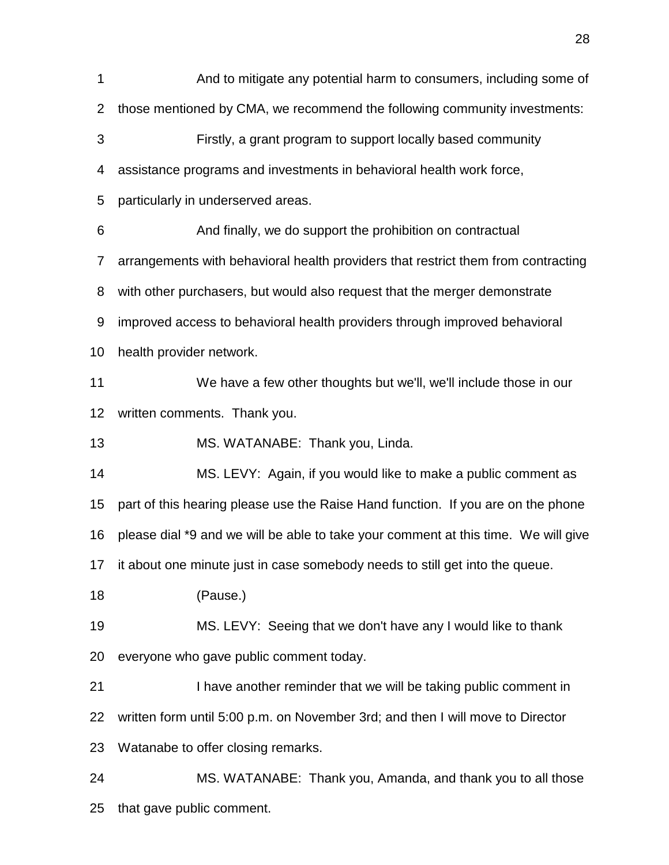1 And to mitigate any potential harm to consumers, including some of those mentioned by CMA, we recommend the following community investments: 3 Firstly, a grant program to support locally based community assistance programs and investments in behavioral health work force, particularly in underserved areas. 6 And finally, we do support the prohibition on contractual arrangements with behavioral health providers that restrict them from contracting with other purchasers, but would also request that the merger demonstrate improved access to behavioral health providers through improved behavioral health provider network. 11 We have a few other thoughts but we'll, we'll include those in our written comments. Thank you. 13 MS. WATANABE: Thank you, Linda. 14 MS. LEVY: Again, if you would like to make a public comment as part of this hearing please use the Raise Hand function. If you are on the phone please dial \*9 and we will be able to take your comment at this time. We will give it about one minute just in case somebody needs to still get into the queue. 18 (Pause.) 19 MS. LEVY: Seeing that we don't have any I would like to thank everyone who gave public comment today. 21 I have another reminder that we will be taking public comment in written form until 5:00 p.m. on November 3rd; and then I will move to Director Watanabe to offer closing remarks. 24 MS. WATANABE: Thank you, Amanda, and thank you to all those that gave public comment.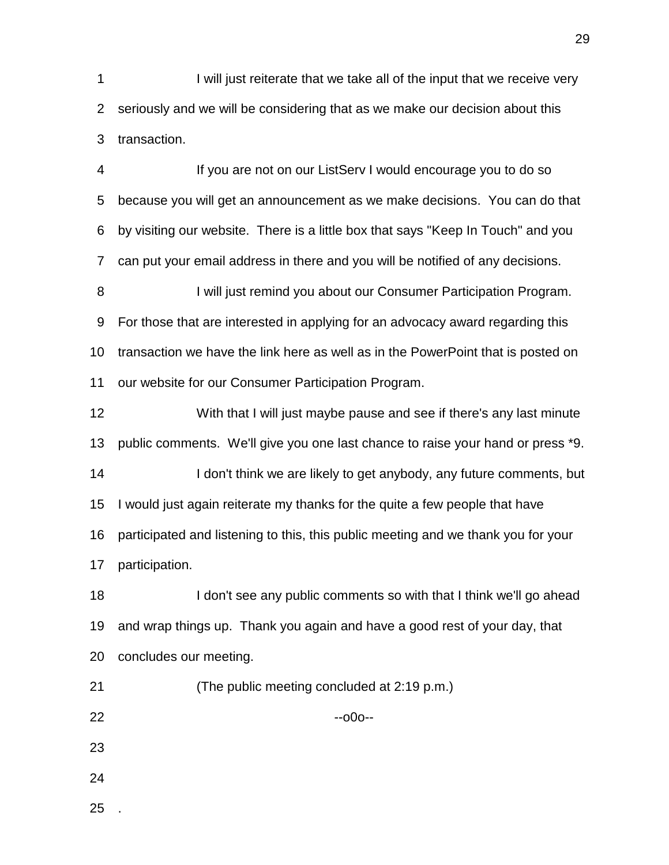1 I will just reiterate that we take all of the input that we receive very seriously and we will be considering that as we make our decision about this transaction.

4 If you are not on our ListServ I would encourage you to do so because you will get an announcement as we make decisions. You can do that by visiting our website. There is a little box that says "Keep In Touch" and you can put your email address in there and you will be notified of any decisions. 8 I will just remind you about our Consumer Participation Program. For those that are interested in applying for an advocacy award regarding this transaction we have the link here as well as in the PowerPoint that is posted on our website for our Consumer Participation Program. 12 With that I will just maybe pause and see if there's any last minute public comments. We'll give you one last chance to raise your hand or press \*9. 14 I don't think we are likely to get anybody, any future comments, but I would just again reiterate my thanks for the quite a few people that have participated and listening to this, this public meeting and we thank you for your

participation.

18 I don't see any public comments so with that I think we'll go ahead and wrap things up. Thank you again and have a good rest of your day, that concludes our meeting.

- 21 (The public meeting concluded at 2:19 p.m.)
- --000--
- 
- 
- .